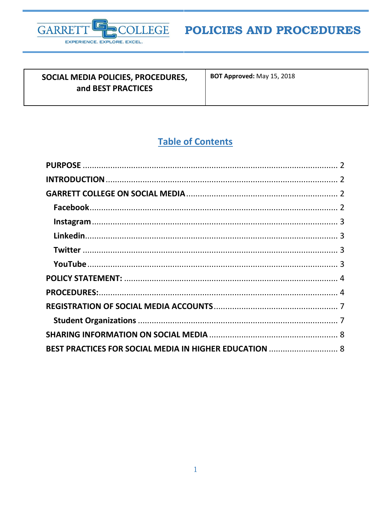

## SOCIAL MEDIA POLICIES, PROCEDURES, and BEST PRACTICES

BOT Approved: May 15, 2018

# **Table of Contents**

| BEST PRACTICES FOR SOCIAL MEDIA IN HIGHER EDUCATION  8 |  |
|--------------------------------------------------------|--|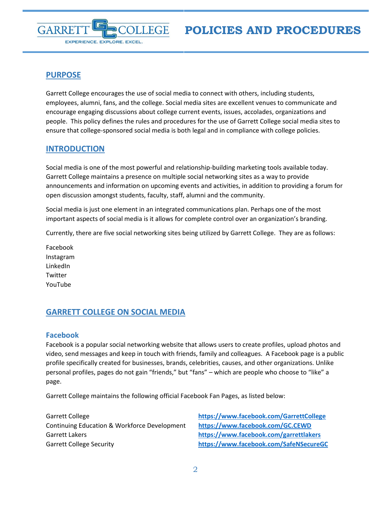## <span id="page-1-0"></span>**PURPOSE**

EXPERIENCE. EXPLORE. EXCEL.

GARRE

Garrett College encourages the use of social media to connect with others, including students, employees, alumni, fans, and the college. Social media sites are excellent venues to communicate and encourage engaging discussions about college current events, issues, accolades, organizations and people. This policy defines the rules and procedures for the use of Garrett College social media sites to ensure that college-sponsored social media is both legal and in compliance with college policies.

**LLEGE** 

## <span id="page-1-1"></span>**INTRODUCTION**

Social media is one of the most powerful and relationship-building marketing tools available today. Garrett College maintains a presence on multiple social networking sites as a way to provide announcements and information on upcoming events and activities, in addition to providing a forum for open discussion amongst students, faculty, staff, alumni and the community.

Social media is just one element in an integrated communications plan. Perhaps one of the most important aspects of social media is it allows for complete control over an organization's branding.

Currently, there are five social networking sites being utilized by Garrett College. They are as follows:

Facebook Instagram LinkedIn **Twitter** YouTube

## <span id="page-1-2"></span>**GARRETT COLLEGE ON SOCIAL MEDIA**

#### <span id="page-1-3"></span>**Facebook**

Facebook is a popular social networking website that allows users to create profiles, upload photos and video, send messages and keep in touch with friends, family and colleagues. A Facebook page is a public profile specifically created for businesses, brands, celebrities, causes, and other organizations. Unlike personal profiles, pages do not gain "friends," but "fans" – which are people who choose to "like" a page.

Garrett College maintains the following official Facebook Fan Pages, as listed below:

Garrett College **<https://www.facebook.com/GarrettCollege>** Continuing Education & Workforce Development **[https://www.facebook.com/GC.CEWD](https://www.facebook.com/GC.CEWD/)** Garrett Lakers **[https://www.facebook.com/garrettlakers](https://www.facebook.com/garrettlakers/)** Garrett College Security **<https://www.facebook.com/SafeNSecureGC>**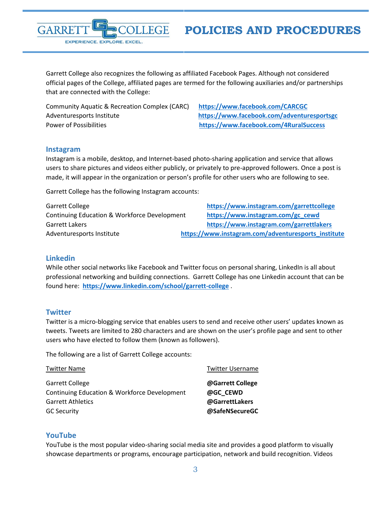Garrett College also recognizes the following as affiliated Facebook Pages. Although not considered official pages of the College, affiliated pages are termed for the following auxiliaries and/or partnerships that are connected with the College:

Community Aquatic & Recreation Complex (CARC) **<https://www.facebook.com/CARCGC>** Adventuresports Institute **<https://www.facebook.com/adventuresportsgc>** Power of Possibilities **<https://www.facebook.com/4RuralSuccess>**

EXPERIENCE. EXPLORE. EXCEL.

#### <span id="page-2-0"></span>**Instagram**

GARRE

Instagram is a mobile, desktop, and Internet-based photo-sharing application and service that allows users to share pictures and videos either publicly, or privately to pre-approved followers. Once a post is made, it will appear in the organization or person's profile for other users who are following to see.

Garrett College has the following Instagram accounts:

Garrett College **[https://www.instagram.com/garrettcollege](https://www.instagram.com/garrettcollege/)** Continuing Education & Workforce Development **[https://www.instagram.com/gc\\_cewd](https://www.instagram.com/gc_cewd)** Garrett Lakers **[https://www.instagram.com/garrettlakers](https://www.instagram.com/garrettlakers/)** Adventuresports Institute **[https://www.instagram.com/adventuresports\\_institute](https://www.instagram.com/adventuresports_institute)** 

#### <span id="page-2-1"></span>**Linkedin**

While other social networks like Facebook and Twitter focus on personal sharing, LinkedIn is all about professional networking and building connections. Garrett College has one Linkedin account that can be found here: **[https://www.linkedin.com/school/garrett-college](https://www.linkedin.com/school/garrett-college/)** .

#### <span id="page-2-2"></span>**Twitter**

Twitter is a micro-blogging service that enables users to send and receive other users' updates known as tweets. Tweets are limited to 280 characters and are shown on the user's profile page and sent to other users who have elected to follow them (known as followers).

The following are a list of Garrett College accounts:

| <b>Twitter Name</b>                          | <b>Twitter Username</b> |
|----------------------------------------------|-------------------------|
| <b>Garrett College</b>                       | @Garrett College        |
| Continuing Education & Workforce Development | @GC CEWD                |
| <b>Garrett Athletics</b>                     | @GarrettLakers          |
| <b>GC Security</b>                           | @SafeNSecureGC          |

#### <span id="page-2-3"></span>**YouTube**

YouTube is the most popular video-sharing social media site and provides a good platform to visually showcase departments or programs, encourage participation, network and build recognition. Videos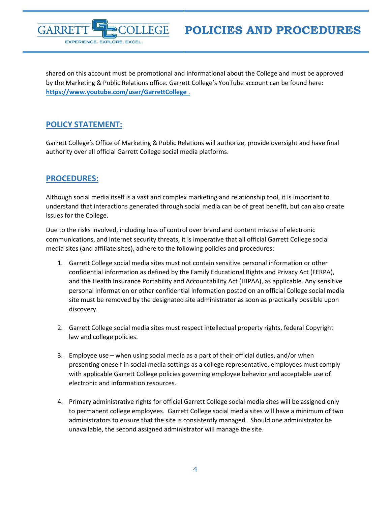

shared on this account must be promotional and informational about the College and must be approved by the Marketing & Public Relations office. Garrett College's YouTube account can be found here: **<https://www.youtube.com/user/GarrettCollege>** .

## <span id="page-3-0"></span>**POLICY STATEMENT:**

Garrett College's Office of Marketing & Public Relations will authorize, provide oversight and have final authority over all official Garrett College social media platforms.

## <span id="page-3-1"></span>**PROCEDURES:**

Although social media itself is a vast and complex marketing and relationship tool, it is important to understand that interactions generated through social media can be of great benefit, but can also create issues for the College.

Due to the risks involved, including loss of control over brand and content misuse of electronic communications, and internet security threats, it is imperative that all official Garrett College social media sites (and affiliate sites), adhere to the following policies and procedures:

- 1. Garrett College social media sites must not contain sensitive personal information or other confidential information as defined by the Family Educational Rights and Privacy Act (FERPA), and the Health Insurance Portability and Accountability Act (HIPAA), as applicable. Any sensitive personal information or other confidential information posted on an official College social media site must be removed by the designated site administrator as soon as practically possible upon discovery.
- 2. Garrett College social media sites must respect intellectual property rights, federal Copyright law and college policies.
- 3. Employee use when using social media as a part of their official duties, and/or when presenting oneself in social media settings as a college representative, employees must comply with applicable Garrett College policies governing employee behavior and acceptable use of electronic and information resources.
- 4. Primary administrative rights for official Garrett College social media sites will be assigned only to permanent college employees. Garrett College social media sites will have a minimum of two administrators to ensure that the site is consistently managed. Should one administrator be unavailable, the second assigned administrator will manage the site.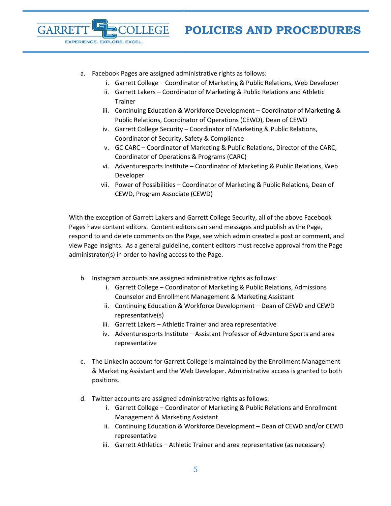

a. Facebook Pages are assigned administrative rights as follows:

**ILLEGE** 

EXPERIENCE. EXPLORE. EXCEL.

GARRE

- i. Garrett College Coordinator of Marketing & Public Relations, Web Developer
- ii. Garrett Lakers Coordinator of Marketing & Public Relations and Athletic Trainer
- iii. Continuing Education & Workforce Development Coordinator of Marketing & Public Relations, Coordinator of Operations (CEWD), Dean of CEWD
- iv. Garrett College Security Coordinator of Marketing & Public Relations, Coordinator of Security, Safety & Compliance
- v. GC CARC Coordinator of Marketing & Public Relations, Director of the CARC, Coordinator of Operations & Programs (CARC)
- vi. Adventuresports Institute Coordinator of Marketing & Public Relations, Web Developer
- vii. Power of Possibilities Coordinator of Marketing & Public Relations, Dean of CEWD, Program Associate (CEWD)

With the exception of Garrett Lakers and Garrett College Security, all of the above Facebook Pages have content editors. Content editors can send messages and publish as the Page, respond to and delete comments on the Page, see which admin created a post or comment, and view Page insights. As a general guideline, content editors must receive approval from the Page administrator(s) in order to having access to the Page.

- b. Instagram accounts are assigned administrative rights as follows:
	- i. Garrett College Coordinator of Marketing & Public Relations, Admissions Counselor and Enrollment Management & Marketing Assistant
	- ii. Continuing Education & Workforce Development Dean of CEWD and CEWD representative(s)
	- iii. Garrett Lakers Athletic Trainer and area representative
	- iv. Adventuresports Institute Assistant Professor of Adventure Sports and area representative
- c. The LinkedIn account for Garrett College is maintained by the Enrollment Management & Marketing Assistant and the Web Developer. Administrative access is granted to both positions.
- d. Twitter accounts are assigned administrative rights as follows:
	- i. Garrett College Coordinator of Marketing & Public Relations and Enrollment Management & Marketing Assistant
	- ii. Continuing Education & Workforce Development Dean of CEWD and/or CEWD representative
	- iii. Garrett Athletics Athletic Trainer and area representative (as necessary)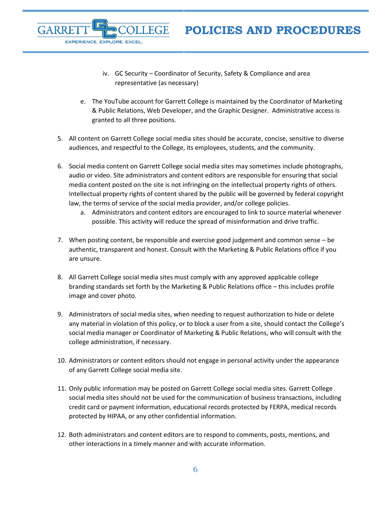iv. GC Security – Coordinator of Security, Safety & Compliance and area representative (as necessary)

GARRF

EXPERIENCE. EXPLORE. EXCEL.

- e. The YouTube account for Garrett College is maintained by the Coordinator of Marketing & Public Relations, Web Developer, and the Graphic Designer. Administrative access is granted to all three positions.
- 5. All content on Garrett College social media sites should be accurate, concise, sensitive to diverse audiences, and respectful to the College, its employees, students, and the community.
- 6. Social media content on Garrett College social media sites may sometimes include photographs, audio or video. Site administrators and content editors are responsible for ensuring that social media content posted on the site is not infringing on the intellectual property rights of others. Intellectual property rights of content shared by the public will be governed by federal copyright law, the terms of service of the social media provider, and/or college policies.
	- a. Administrators and content editors are encouraged to link to source material whenever possible. This activity will reduce the spread of misinformation and drive traffic.
- 7. When posting content, be responsible and exercise good judgement and common sense be authentic, transparent and honest. Consult with the Marketing & Public Relations office if you are unsure.
- 8. All Garrett College social media sites must comply with any approved applicable college branding standards set forth by the Marketing & Public Relations office – this includes profile image and cover photo.
- 9. Administrators of social media sites, when needing to request authorization to hide or delete any material in violation of this policy, or to block a user from a site, should contact the College's social media manager or Coordinator of Marketing & Public Relations, who will consult with the college administration, if necessary.
- 10. Administrators or content editors should not engage in personal activity under the appearance of any Garrett College social media site.
- 11. Only public information may be posted on Garrett College social media sites. Garrett College social media sites should not be used for the communication of business transactions, including credit card or payment information, educational records protected by FERPA, medical records protected by HIPAA, or any other confidential information.
- 12. Both administrators and content editors are to respond to comments, posts, mentions, and other interactions in a timely manner and with accurate information.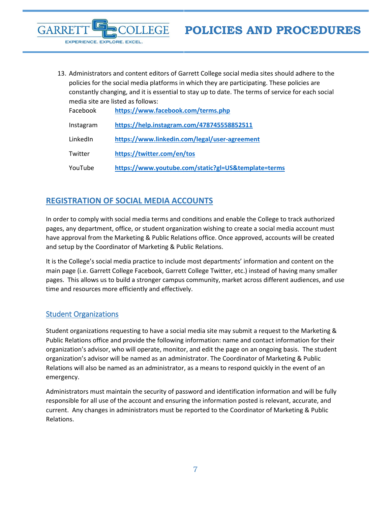

13. Administrators and content editors of Garrett College social media sites should adhere to the policies for the social media platforms in which they are participating. These policies are constantly changing, and it is essential to stay up to date. The terms of service for each social media site are listed as follows:

| Facebook  | https://www.facebook.com/terms.php                  |
|-----------|-----------------------------------------------------|
| Instagram | https://help.instagram.com/478745558852511          |
| LinkedIn  | https://www.linkedin.com/legal/user-agreement       |
| Twitter   | https://twitter.com/en/tos                          |
| YouTube   | https://www.youtube.com/static?gl=US&template=terms |

## <span id="page-6-0"></span>**REGISTRATION OF SOCIAL MEDIA ACCOUNTS**

In order to comply with social media terms and conditions and enable the College to track authorized pages, any department, office, or student organization wishing to create a social media account must have approval from the Marketing & Public Relations office. Once approved, accounts will be created and setup by the Coordinator of Marketing & Public Relations.

It is the College's social media practice to include most departments' information and content on the main page (i.e. Garrett College Facebook, Garrett College Twitter, etc.) instead of having many smaller pages. This allows us to build a stronger campus community, market across different audiences, and use time and resources more efficiently and effectively.

## <span id="page-6-1"></span>Student Organizations

Student organizations requesting to have a social media site may submit a request to the Marketing & Public Relations office and provide the following information: name and contact information for their organization's advisor, who will operate, monitor, and edit the page on an ongoing basis. The student organization's advisor will be named as an administrator. The Coordinator of Marketing & Public Relations will also be named as an administrator, as a means to respond quickly in the event of an emergency.

Administrators must maintain the security of password and identification information and will be fully responsible for all use of the account and ensuring the information posted is relevant, accurate, and current. Any changes in administrators must be reported to the Coordinator of Marketing & Public Relations.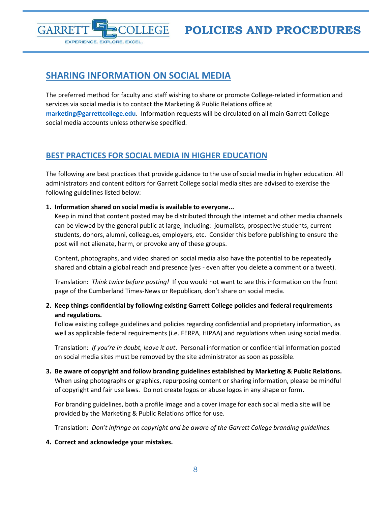

## <span id="page-7-0"></span>**SHARING INFORMATION ON SOCIAL MEDIA**

The preferred method for faculty and staff wishing to share or promote College-related information and services via social media is to contact the Marketing & Public Relations office at **[marketing@garrettcollege.edu](mailto:marketing@garrettcollege.edu)**. Information requests will be circulated on all main Garrett College social media accounts unless otherwise specified.

## <span id="page-7-1"></span>**BEST PRACTICES FOR SOCIAL MEDIA IN HIGHER EDUCATION**

The following are best practices that provide guidance to the use of social media in higher education. All administrators and content editors for Garrett College social media sites are advised to exercise the following guidelines listed below:

#### **1. Information shared on social media is available to everyone...**

Keep in mind that content posted may be distributed through the internet and other media channels can be viewed by the general public at large, including: journalists, prospective students, current students, donors, alumni, colleagues, employers, etc. Consider this before publishing to ensure the post will not alienate, harm, or provoke any of these groups.

Content, photographs, and video shared on social media also have the potential to be repeatedly shared and obtain a global reach and presence (yes - even after you delete a comment or a tweet).

Translation: *Think twice before posting!* If you would not want to see this information on the front page of the Cumberland Times-News or Republican, don't share on social media.

### **2. Keep things confidential by following existing Garrett College policies and federal requirements and regulations.**

Follow existing college guidelines and policies regarding confidential and proprietary information, as well as applicable federal requirements (i.e. FERPA, HIPAA) and regulations when using social media.

Translation: *If you're in doubt, leave it out*. Personal information or confidential information posted on social media sites must be removed by the site administrator as soon as possible.

**3. Be aware of copyright and follow branding guidelines established by Marketing & Public Relations.** When using photographs or graphics, repurposing content or sharing information, please be mindful of copyright and fair use laws. Do not create logos or abuse logos in any shape or form.

For branding guidelines, both a profile image and a cover image for each social media site will be provided by the Marketing & Public Relations office for use.

Translation: *Don't infringe on copyright and be aware of the Garrett College branding guidelines.*

#### **4. Correct and acknowledge your mistakes.**